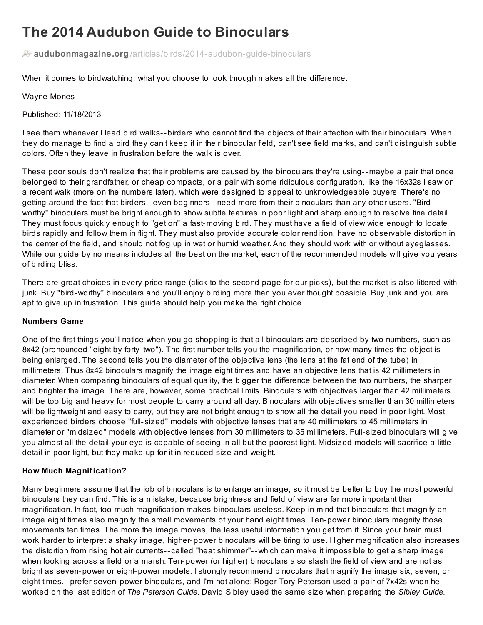# **The 2014 Audubon Guide to Binoculars**

**audubonmagazine.org** [/articles/birds/2014-audubon-guide-binoculars](http://www.audubonmagazine.org/articles/birds/2014-audubon-guide-binoculars)

When it comes to birdwatching, what you choose to look through makes all the difference.

#### Wayne Mones

Published: 11/18/2013

I see them whenever I lead bird walks--birders who cannot find the objects of their affection with their binoculars. When they do manage to find a bird they can't keep it in their binocular field, can't see field marks, and can't distinguish subtle colors. Often they leave in frustration before the walk is over.

These poor souls don't realize that their problems are caused by the binoculars they're using--maybe a pair that once belonged to their grandfather, or cheap compacts, or a pair with some ridiculous configuration, like the 16x32s I saw on a recent walk (more on the numbers later), which were designed to appeal to unknowledgeable buyers. There's no getting around the fact that birders--even beginners--need more from their binoculars than any other users. "Birdworthy" binoculars must be bright enough to show subtle features in poor light and sharp enough to resolve fine detail. They must focus quickly enough to "get on" a fast-moving bird. They must have a field of view wide enough to locate birds rapidly and follow them in flight. They must also provide accurate color rendition, have no observable distortion in the center of the field, and should not fog up in wet or humid weather. And they should work with or without eyeglasses. While our guide by no means includes all the best on the market, each of the recommended models will give you years of birding bliss.

There are great choices in every price range (click to the second page for our picks), but the market is also littered with junk. Buy "bird-worthy" binoculars and you'll enjoy birding more than you ever thought possible. Buy junk and you are apt to give up in frustration. This guide should help you make the right choice.

## **Numbers Game**

One of the first things you'll notice when you go shopping is that all binoculars are described by two numbers, such as 8x42 (pronounced "eight by forty-two"). The first number tells you the magnification, or how many times the object is being enlarged. The second tells you the diameter of the objective lens (the lens at the fat end of the tube) in millimeters. Thus 8x42 binoculars magnify the image eight times and have an objective lens that is 42 millimeters in diameter. When comparing binoculars of equal quality, the bigger the difference between the two numbers, the sharper and brighter the image. There are, however, some practical limits. Binoculars with objectives larger than 42 millimeters will be too big and heavy for most people to carry around all day. Binoculars with objectives smaller than 30 millimeters will be lightweight and easy to carry, but they are not bright enough to show all the detail you need in poor light. Most experienced birders choose "full- sized" models with objective lenses that are 40 millimeters to 45 millimeters in diameter or "midsized" models with objective lenses from 30 millimeters to 35 millimeters. Full- sized binoculars will give you almost all the detail your eye is capable of seeing in all but the poorest light. Midsized models will sacrifice a little detail in poor light, but they make up for it in reduced size and weight.

## **How Much Magnification?**

Many beginners assume that the job of binoculars is to enlarge an image, so it must be better to buy the most powerful binoculars they can find. This is a mistake, because brightness and field of view are far more important than magnification. In fact, too much magnification makes binoculars useless. Keep in mind that binoculars that magnify an image eight times also magnify the small movements of your hand eight times. Ten-power binoculars magnify those movements ten times. The more the image moves, the less useful information you get from it. Since your brain must work harder to interpret a shaky image, higher-power binoculars will be tiring to use. Higher magnification also increases the distortion from rising hot air currents-- called "heat shimmer"--which can make it impossible to get a sharp image when looking across a field or a marsh. Ten-power (or higher) binoculars also slash the field of view and are not as bright as seven-power or eight-power models. I strongly recommend binoculars that magnify the image six, seven, or eight times. I prefer seven-power binoculars, and I'm not alone: Roger Tory Peterson used a pair of 7x42s when he worked on the last edition of *The Peterson Guide*. David Sibley used the same size when preparing the *Sibley Guide*.